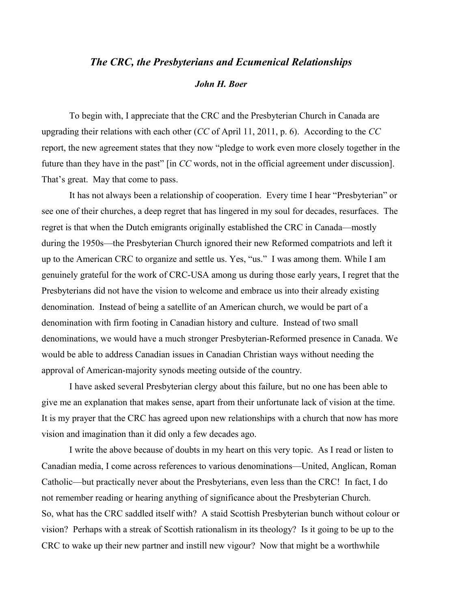## *The CRC, the Presbyterians and Ecumenical Relationships*

## *John H. Boer*

To begin with, I appreciate that the CRC and the Presbyterian Church in Canada are upgrading their relations with each other (*CC* of April 11, 2011, p. 6). According to the *CC*  report, the new agreement states that they now "pledge to work even more closely together in the future than they have in the past" [in *CC* words, not in the official agreement under discussion]. That's great. May that come to pass.

It has not always been a relationship of cooperation. Every time I hear "Presbyterian" or see one of their churches, a deep regret that has lingered in my soul for decades, resurfaces. The regret is that when the Dutch emigrants originally established the CRC in Canada—mostly during the 1950s—the Presbyterian Church ignored their new Reformed compatriots and left it up to the American CRC to organize and settle us. Yes, "us." I was among them. While I am genuinely grateful for the work of CRC-USA among us during those early years, I regret that the Presbyterians did not have the vision to welcome and embrace us into their already existing denomination. Instead of being a satellite of an American church, we would be part of a denomination with firm footing in Canadian history and culture. Instead of two small denominations, we would have a much stronger Presbyterian-Reformed presence in Canada. We would be able to address Canadian issues in Canadian Christian ways without needing the approval of American-majority synods meeting outside of the country.

I have asked several Presbyterian clergy about this failure, but no one has been able to give me an explanation that makes sense, apart from their unfortunate lack of vision at the time. It is my prayer that the CRC has agreed upon new relationships with a church that now has more vision and imagination than it did only a few decades ago.

I write the above because of doubts in my heart on this very topic. As I read or listen to Canadian media, I come across references to various denominations—United, Anglican, Roman Catholic—but practically never about the Presbyterians, even less than the CRC! In fact, I do not remember reading or hearing anything of significance about the Presbyterian Church. So, what has the CRC saddled itself with? A staid Scottish Presbyterian bunch without colour or vision? Perhaps with a streak of Scottish rationalism in its theology? Is it going to be up to the CRC to wake up their new partner and instill new vigour? Now that might be a worthwhile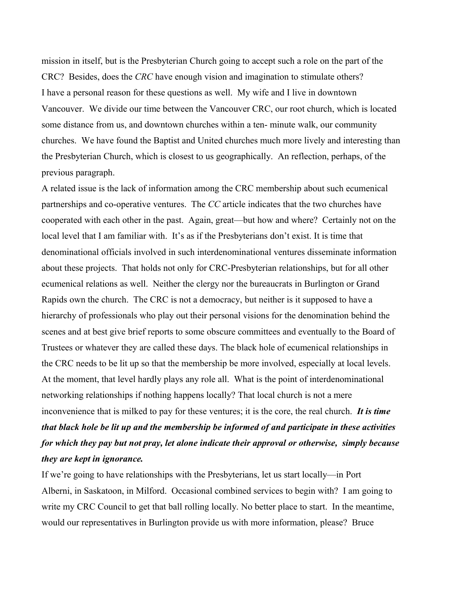mission in itself, but is the Presbyterian Church going to accept such a role on the part of the CRC? Besides, does the *CRC* have enough vision and imagination to stimulate others? I have a personal reason for these questions as well. My wife and I live in downtown Vancouver. We divide our time between the Vancouver CRC, our root church, which is located some distance from us, and downtown churches within a ten- minute walk, our community churches. We have found the Baptist and United churches much more lively and interesting than the Presbyterian Church, which is closest to us geographically. An reflection, perhaps, of the previous paragraph.

A related issue is the lack of information among the CRC membership about such ecumenical partnerships and co-operative ventures. The *CC* article indicates that the two churches have cooperated with each other in the past. Again, great—but how and where? Certainly not on the local level that I am familiar with. It's as if the Presbyterians don't exist. It is time that denominational officials involved in such interdenominational ventures disseminate information about these projects. That holds not only for CRC-Presbyterian relationships, but for all other ecumenical relations as well. Neither the clergy nor the bureaucrats in Burlington or Grand Rapids own the church. The CRC is not a democracy, but neither is it supposed to have a hierarchy of professionals who play out their personal visions for the denomination behind the scenes and at best give brief reports to some obscure committees and eventually to the Board of Trustees or whatever they are called these days. The black hole of ecumenical relationships in the CRC needs to be lit up so that the membership be more involved, especially at local levels. At the moment, that level hardly plays any role all. What is the point of interdenominational networking relationships if nothing happens locally? That local church is not a mere inconvenience that is milked to pay for these ventures; it is the core, the real church. *It is time that black hole be lit up and the membership be informed of and participate in these activities* 

## *for which they pay but not pray, let alone indicate their approval or otherwise, simply because they are kept in ignorance.*

If we're going to have relationships with the Presbyterians, let us start locally—in Port Alberni, in Saskatoon, in Milford. Occasional combined services to begin with? I am going to write my CRC Council to get that ball rolling locally. No better place to start. In the meantime, would our representatives in Burlington provide us with more information, please? Bruce